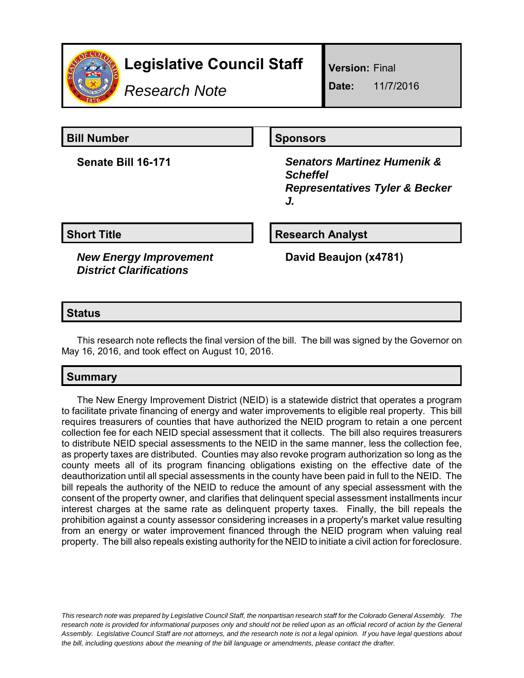

# **Legislative Council Staff**

*Research Note*

**Version:** Final

**Date:** 11/7/2016

**Bill Number Sponsors** 

**Senate Bill 16-171** *Senators Martinez Humenik & Scheffel Representatives Tyler & Becker J.*

*New Energy Improvement District Clarifications*

**Short Title Research Analyst** 

**David Beaujon (x4781)**

# **Status**

This research note reflects the final version of the bill. The bill was signed by the Governor on May 16, 2016, and took effect on August 10, 2016.

# **Summary**

The New Energy Improvement District (NEID) is a statewide district that operates a program to facilitate private financing of energy and water improvements to eligible real property. This bill requires treasurers of counties that have authorized the NEID program to retain a one percent collection fee for each NEID special assessment that it collects. The bill also requires treasurers to distribute NEID special assessments to the NEID in the same manner, less the collection fee, as property taxes are distributed. Counties may also revoke program authorization so long as the county meets all of its program financing obligations existing on the effective date of the deauthorization until all special assessments in the county have been paid in full to the NEID. The bill repeals the authority of the NEID to reduce the amount of any special assessment with the consent of the property owner, and clarifies that delinquent special assessment installments incur interest charges at the same rate as delinquent property taxes. Finally, the bill repeals the prohibition against a county assessor considering increases in a property's market value resulting from an energy or water improvement financed through the NEID program when valuing real property. The bill also repeals existing authority for the NEID to initiate a civil action for foreclosure.

*This research note was prepared by Legislative Council Staff, the nonpartisan research staff for the Colorado General Assembly. The research note is provided for informational purposes only and should not be relied upon as an official record of action by the General Assembly. Legislative Council Staff are not attorneys, and the research note is not a legal opinion. If you have legal questions about the bill, including questions about the meaning of the bill language or amendments, please contact the drafter.*